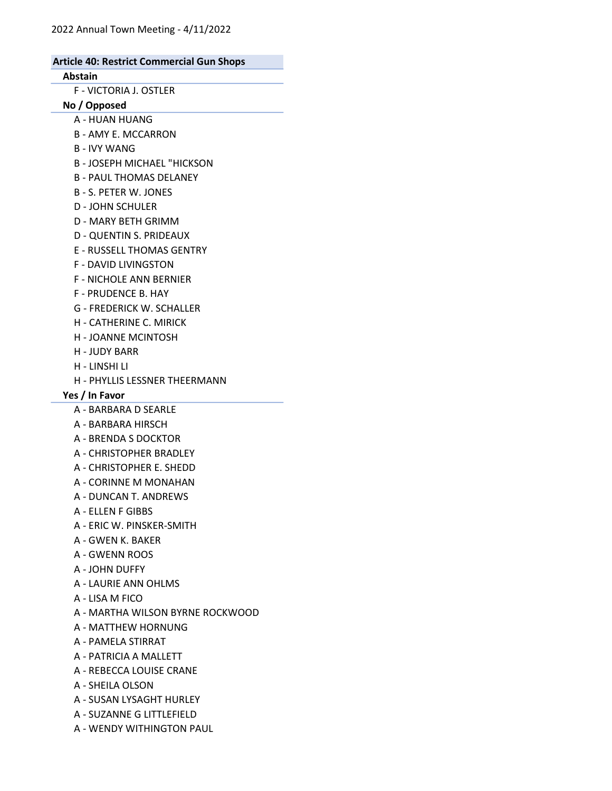Abstain F - VICTORIA J. OSTLER No / Opposed A - HUAN HUANG B - AMY E. MCCARRON B - IVY WANG B - JOSEPH MICHAEL "HICKSON B - PAUL THOMAS DELANEY B - S. PETER W. JONES D - JOHN SCHULER D - MARY BETH GRIMM D - QUENTIN S. PRIDEAUX E - RUSSELL THOMAS GENTRY F - DAVID LIVINGSTON F - NICHOLE ANN BERNIER F - PRUDENCE B. HAY G - FREDERICK W. SCHALLER H - CATHERINE C. MIRICK H - JOANNE MCINTOSH H - JUDY BARR H - LINSHI LI H - PHYLLIS LESSNER THEERMANN Yes / In Favor A - BARBARA D SEARLE A - BARBARA HIRSCH

- A BRENDA S DOCKTOR
- A CHRISTOPHER BRADLEY
- A CHRISTOPHER E. SHEDD
- A CORINNE M MONAHAN
- A DUNCAN T. ANDREWS
- A ELLEN F GIBBS
- A ERIC W. PINSKER-SMITH
- A GWEN K. BAKER
- A GWENN ROOS
- A JOHN DUFFY
- A LAURIE ANN OHLMS
- A LISA M FICO
- A MARTHA WILSON BYRNE ROCKWOOD
- A MATTHEW HORNUNG
- A PAMELA STIRRAT
- A PATRICIA A MALLETT
- A REBECCA LOUISE CRANE
- A SHEILA OLSON
- A SUSAN LYSAGHT HURLEY
- A SUZANNE G LITTLEFIELD
- A WENDY WITHINGTON PAUL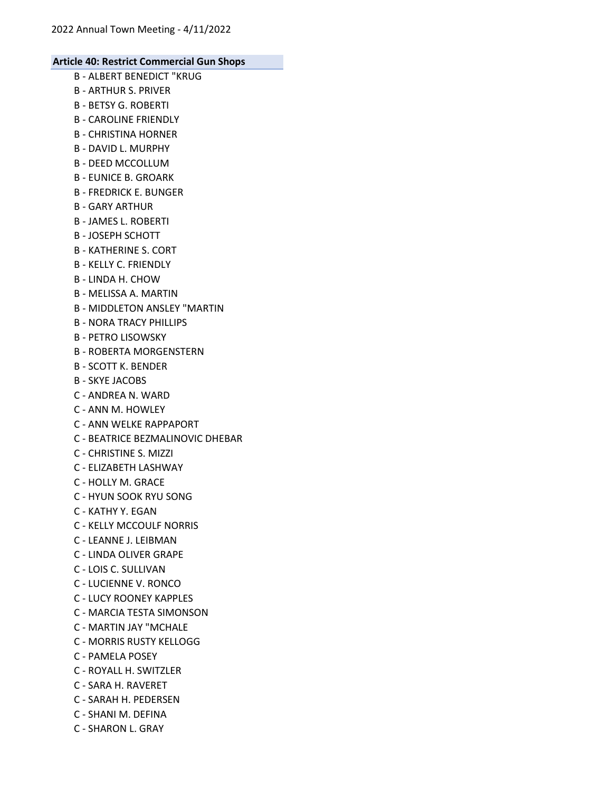- B ALBERT BENEDICT "KRUG B - ARTHUR S. PRIVER B - BETSY G. ROBERTI B - CAROLINE FRIENDLY B - CHRISTINA HORNER B - DAVID L. MURPHY B - DEED MCCOLLUM B - EUNICE B. GROARK B - FREDRICK E. BUNGER B - GARY ARTHUR B - JAMES L. ROBERTI B - JOSEPH SCHOTT B - KATHERINE S. CORT B - KELLY C. FRIENDLY B - LINDA H. CHOW B - MELISSA A. MARTIN B - MIDDLETON ANSLEY "MARTIN B - NORA TRACY PHILLIPS B - PETRO LISOWSKY B - ROBERTA MORGENSTERN B - SCOTT K. BENDER B - SKYE JACOBS C - ANDREA N. WARD
- C ANN M. HOWLEY
- 
- C ANN WELKE RAPPAPORT
- C BEATRICE BEZMALINOVIC DHEBAR
- C CHRISTINE S. MIZZI
- C ELIZABETH LASHWAY
- C HOLLY M. GRACE
- C HYUN SOOK RYU SONG
- C KATHY Y. EGAN
- C KELLY MCCOULF NORRIS
- C LEANNE J. LEIBMAN
- C LINDA OLIVER GRAPE
- C LOIS C. SULLIVAN
- C LUCIENNE V. RONCO
- C LUCY ROONEY KAPPLES
- C MARCIA TESTA SIMONSON
- C MARTIN JAY "MCHALE
- C MORRIS RUSTY KELLOGG
- C PAMELA POSEY
- C ROYALL H. SWITZLER
- C SARA H. RAVERET
- C SARAH H. PEDERSEN
- C SHANI M. DEFINA
- C SHARON L. GRAY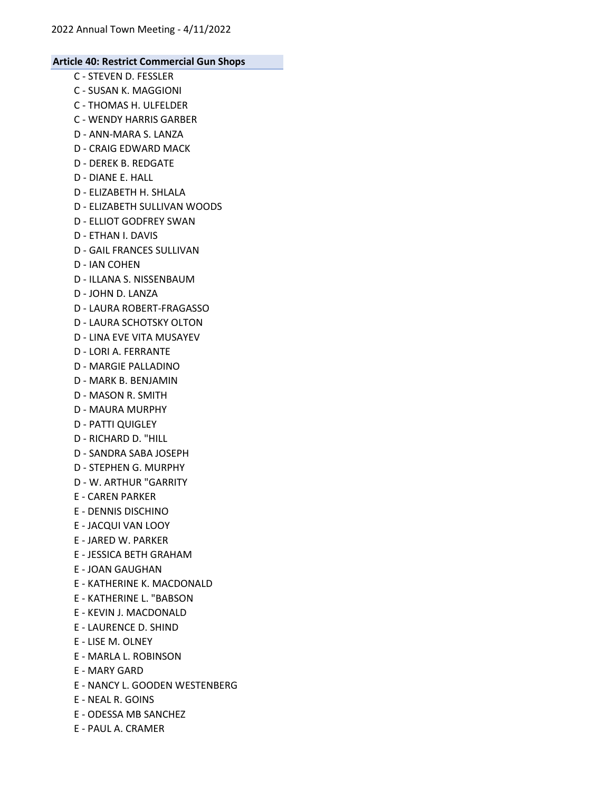- C STEVEN D. FESSLER C - SUSAN K. MAGGIONI C - THOMAS H. ULFELDER C - WENDY HARRIS GARBER D - ANN-MARA S. LANZA D - CRAIG EDWARD MACK D - DEREK B. REDGATE D - DIANE E. HALL D - ELIZABETH H. SHLALA D - ELIZABETH SULLIVAN WOODS D - ELLIOT GODFREY SWAN D - ETHAN I. DAVIS D - GAIL FRANCES SULLIVAN D - IAN COHEN D - ILLANA S. NISSENBAUM D - JOHN D. LANZA D - LAURA ROBERT-FRAGASSO D - LAURA SCHOTSKY OLTON D - LINA EVE VITA MUSAYEV D - LORI A. FERRANTE D - MARGIE PALLADINO D - MARK B. BENJAMIN D - MASON R. SMITH D - MAURA MURPHY D - PATTI QUIGLEY D - RICHARD D. "HILL D - SANDRA SABA JOSEPH D - STEPHEN G. MURPHY D - W. ARTHUR "GARRITY E - CAREN PARKER E - DENNIS DISCHINO E - JACQUI VAN LOOY E - JARED W. PARKER E - JESSICA BETH GRAHAM E - JOAN GAUGHAN E - KATHERINE K. MACDONALD E - KATHERINE L. "BABSON E - KEVIN J. MACDONALD E - LAURENCE D. SHIND E - LISE M. OLNEY E - MARLA L. ROBINSON E - MARY GARD E - NANCY L. GOODEN WESTENBERG E - NEAL R. GOINS
- E ODESSA MB SANCHEZ
- E PAUL A. CRAMER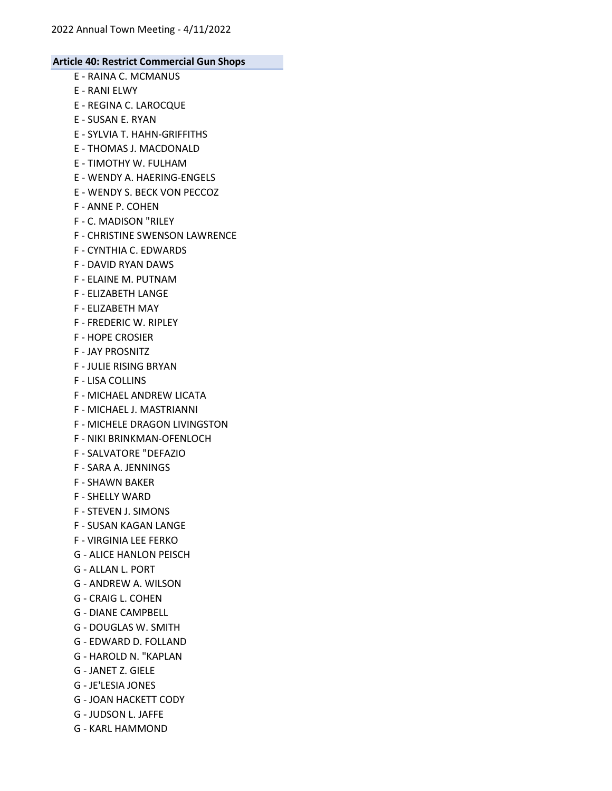- E RAINA C. MCMANUS
- E RANI ELWY
- E REGINA C. LAROCQUE
- E SUSAN E. RYAN
- E SYLVIA T. HAHN-GRIFFITHS
- E THOMAS J. MACDONALD
- E TIMOTHY W. FULHAM
- E WENDY A. HAERING-ENGELS
- E WENDY S. BECK VON PECCOZ
- F ANNE P. COHEN
- F C. MADISON "RILEY
- F CHRISTINE SWENSON LAWRENCE
- F CYNTHIA C. EDWARDS
- F DAVID RYAN DAWS
- F ELAINE M. PUTNAM
- F ELIZABETH LANGE
- F ELIZABETH MAY
- F FREDERIC W. RIPLEY
- F HOPE CROSIER
- F JAY PROSNITZ
- F JULIE RISING BRYAN
- F LISA COLLINS
- F MICHAEL ANDREW LICATA
- F MICHAEL J. MASTRIANNI
- F MICHELE DRAGON LIVINGSTON
- F NIKI BRINKMAN-OFENLOCH
- F SALVATORE "DEFAZIO
- F SARA A. JENNINGS
- F SHAWN BAKER
- F SHELLY WARD
- F STEVEN J. SIMONS
- F SUSAN KAGAN LANGE
- F VIRGINIA LEE FERKO
- G ALICE HANLON PEISCH
- G ALLAN L. PORT
- G ANDREW A. WILSON
- G CRAIG L. COHEN
- G DIANE CAMPBELL
- G DOUGLAS W. SMITH
- G EDWARD D. FOLLAND
- G HAROLD N. "KAPLAN
- G JANET Z. GIELE
- G JE'LESIA JONES
- G JOAN HACKETT CODY
- G JUDSON L. JAFFE
- G KARL HAMMOND